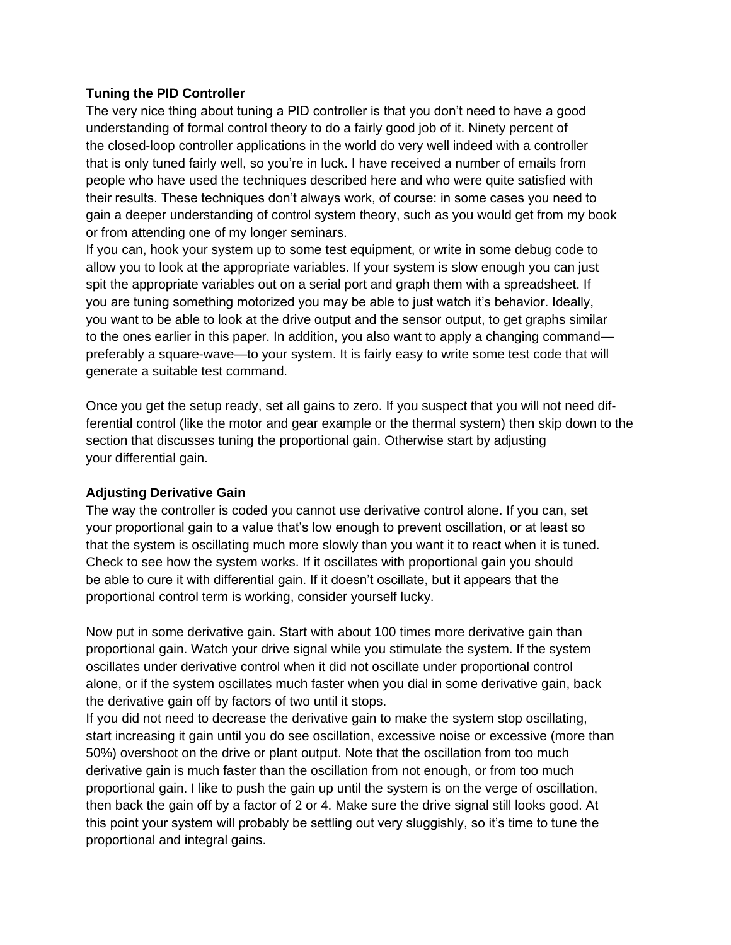## **Tuning the PID Controller**

The very nice thing about tuning a PID controller is that you don't need to have a good understanding of formal control theory to do a fairly good job of it. Ninety percent of the closed-loop controller applications in the world do very well indeed with a controller that is only tuned fairly well, so you're in luck. I have received a number of emails from people who have used the techniques described here and who were quite satisfied with their results. These techniques don't always work, of course: in some cases you need to gain a deeper understanding of control system theory, such as you would get from my book or from attending one of my longer seminars.

If you can, hook your system up to some test equipment, or write in some debug code to allow you to look at the appropriate variables. If your system is slow enough you can just spit the appropriate variables out on a serial port and graph them with a spreadsheet. If you are tuning something motorized you may be able to just watch it's behavior. Ideally, you want to be able to look at the drive output and the sensor output, to get graphs similar to the ones earlier in this paper. In addition, you also want to apply a changing command preferably a square-wave—to your system. It is fairly easy to write some test code that will generate a suitable test command.

Once you get the setup ready, set all gains to zero. If you suspect that you will not need differential control (like the motor and gear example or the thermal system) then skip down to the section that discusses tuning the proportional gain. Otherwise start by adjusting your differential gain.

### **Adjusting Derivative Gain**

The way the controller is coded you cannot use derivative control alone. If you can, set your proportional gain to a value that's low enough to prevent oscillation, or at least so that the system is oscillating much more slowly than you want it to react when it is tuned. Check to see how the system works. If it oscillates with proportional gain you should be able to cure it with differential gain. If it doesn't oscillate, but it appears that the proportional control term is working, consider yourself lucky.

Now put in some derivative gain. Start with about 100 times more derivative gain than proportional gain. Watch your drive signal while you stimulate the system. If the system oscillates under derivative control when it did not oscillate under proportional control alone, or if the system oscillates much faster when you dial in some derivative gain, back the derivative gain off by factors of two until it stops.

If you did not need to decrease the derivative gain to make the system stop oscillating, start increasing it gain until you do see oscillation, excessive noise or excessive (more than 50%) overshoot on the drive or plant output. Note that the oscillation from too much derivative gain is much faster than the oscillation from not enough, or from too much proportional gain. I like to push the gain up until the system is on the verge of oscillation, then back the gain off by a factor of 2 or 4. Make sure the drive signal still looks good. At this point your system will probably be settling out very sluggishly, so it's time to tune the proportional and integral gains.